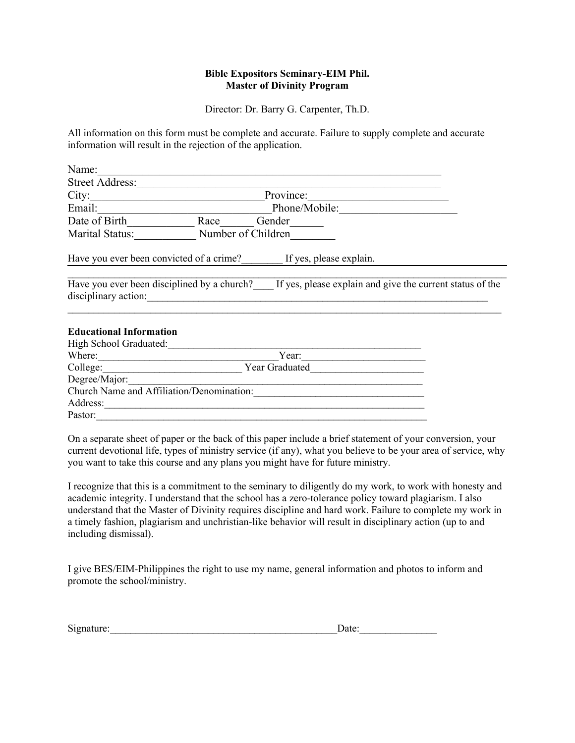### **Bible Expositors Seminary-EIM Phil. Master of Divinity Program**

Director: Dr. Barry G. Carpenter, Th.D.

All information on this form must be complete and accurate. Failure to supply complete and accurate information will result in the rejection of the application.

| Name:                                                               |                    |                                                           |  |
|---------------------------------------------------------------------|--------------------|-----------------------------------------------------------|--|
| <b>Street Address:</b>                                              |                    |                                                           |  |
| City:                                                               | Province:          |                                                           |  |
| Email:                                                              | Phone/Mobile:      |                                                           |  |
| Date of Birth                                                       | Race               | Gender                                                    |  |
| Marital Status:                                                     | Number of Children |                                                           |  |
| Have you ever been convicted of a crime?                            |                    | If yes, please explain.                                   |  |
| Have you ever been disciplined by a church?<br>disciplinary action: |                    | If yes, please explain and give the current status of the |  |
| <b>Educational Information</b>                                      |                    |                                                           |  |

| High School Graduated:                    |                |  |  |  |
|-------------------------------------------|----------------|--|--|--|
| Where:                                    | Year:          |  |  |  |
| College:                                  | Year Graduated |  |  |  |
| Degree/Major:                             |                |  |  |  |
| Church Name and Affiliation/Denomination: |                |  |  |  |
| Address:                                  |                |  |  |  |
| Pastor:                                   |                |  |  |  |

On a separate sheet of paper or the back of this paper include a brief statement of your conversion, your current devotional life, types of ministry service (if any), what you believe to be your area of service, why you want to take this course and any plans you might have for future ministry.

I recognize that this is a commitment to the seminary to diligently do my work, to work with honesty and academic integrity. I understand that the school has a zero-tolerance policy toward plagiarism. I also understand that the Master of Divinity requires discipline and hard work. Failure to complete my work in a timely fashion, plagiarism and unchristian-like behavior will result in disciplinary action (up to and including dismissal).

I give BES/EIM-Philippines the right to use my name, general information and photos to inform and promote the school/ministry.

| $\sim$     |      |
|------------|------|
| Signature: | rale |
|            |      |
|            |      |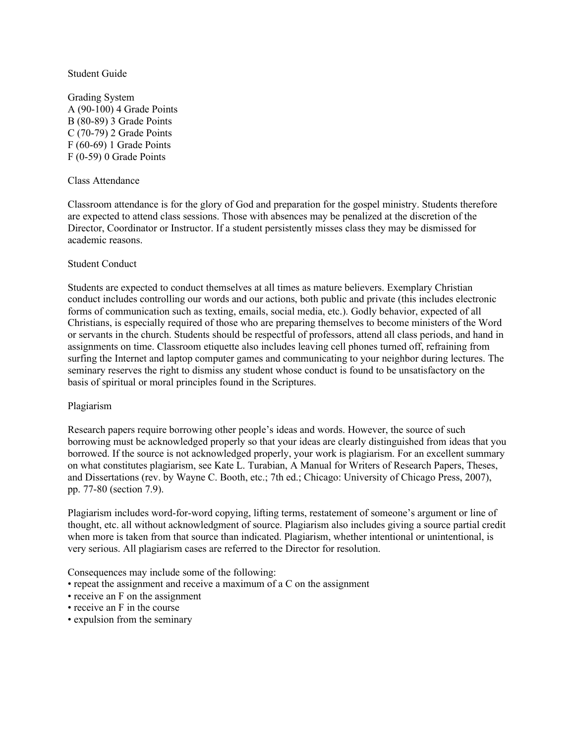#### Student Guide

Grading System A (90-100) 4 Grade Points B (80-89) 3 Grade Points C (70-79) 2 Grade Points F (60-69) 1 Grade Points F (0-59) 0 Grade Points

#### Class Attendance

Classroom attendance is for the glory of God and preparation for the gospel ministry. Students therefore are expected to attend class sessions. Those with absences may be penalized at the discretion of the Director, Coordinator or Instructor. If a student persistently misses class they may be dismissed for academic reasons.

#### Student Conduct

Students are expected to conduct themselves at all times as mature believers. Exemplary Christian conduct includes controlling our words and our actions, both public and private (this includes electronic forms of communication such as texting, emails, social media, etc.). Godly behavior, expected of all Christians, is especially required of those who are preparing themselves to become ministers of the Word or servants in the church. Students should be respectful of professors, attend all class periods, and hand in assignments on time. Classroom etiquette also includes leaving cell phones turned off, refraining from surfing the Internet and laptop computer games and communicating to your neighbor during lectures. The seminary reserves the right to dismiss any student whose conduct is found to be unsatisfactory on the basis of spiritual or moral principles found in the Scriptures.

#### Plagiarism

Research papers require borrowing other people's ideas and words. However, the source of such borrowing must be acknowledged properly so that your ideas are clearly distinguished from ideas that you borrowed. If the source is not acknowledged properly, your work is plagiarism. For an excellent summary on what constitutes plagiarism, see Kate L. Turabian, A Manual for Writers of Research Papers, Theses, and Dissertations (rev. by Wayne C. Booth, etc.; 7th ed.; Chicago: University of Chicago Press, 2007), pp. 77-80 (section 7.9).

Plagiarism includes word-for-word copying, lifting terms, restatement of someone's argument or line of thought, etc. all without acknowledgment of source. Plagiarism also includes giving a source partial credit when more is taken from that source than indicated. Plagiarism, whether intentional or unintentional, is very serious. All plagiarism cases are referred to the Director for resolution.

Consequences may include some of the following:

- repeat the assignment and receive a maximum of a C on the assignment
- receive an F on the assignment
- receive an F in the course
- expulsion from the seminary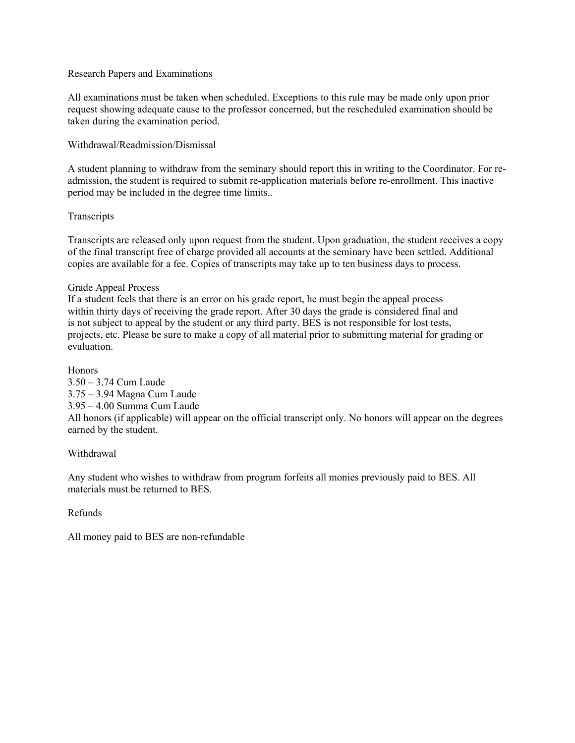#### Research Papers and Examinations

All examinations must be taken when scheduled. Exceptions to this rule may be made only upon prior request showing adequate cause to the professor concerned, but the rescheduled examination should be taken during the examination period.

### Withdrawal/Readmission/Dismissal

A student planning to withdraw from the seminary should report this in writing to the Coordinator. For readmission, the student is required to submit re-application materials before re-enrollment. This inactive period may be included in the degree time limits..

# **Transcripts**

Transcripts are released only upon request from the student. Upon graduation, the student receives a copy of the final transcript free of charge provided all accounts at the seminary have been settled. Additional copies are available for a fee. Copies of transcripts may take up to ten business days to process.

#### Grade Appeal Process

If a student feels that there is an error on his grade report, he must begin the appeal process within thirty days of receiving the grade report. After 30 days the grade is considered final and is not subject to appeal by the student or any third party. BES is not responsible for lost tests, projects, etc. Please be sure to make a copy of all material prior to submitting material for grading or evaluation.

Honors

3.50 – 3.74 Cum Laude 3.75 – 3.94 Magna Cum Laude 3.95 – 4.00 Summa Cum Laude All honors (if applicable) will appear on the official transcript only. No honors will appear on the degrees earned by the student.

# Withdrawal

Any student who wishes to withdraw from program forfeits all monies previously paid to BES. All materials must be returned to BES.

Refunds

All money paid to BES are non-refundable